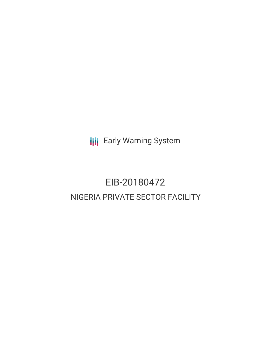**III** Early Warning System

# EIB-20180472 NIGERIA PRIVATE SECTOR FACILITY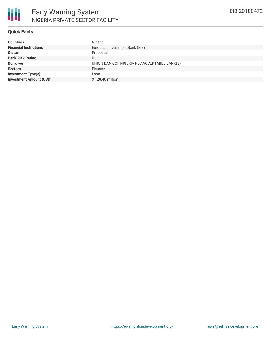

#### **Quick Facts**

| <b>Countries</b>               | Nigeria                                       |
|--------------------------------|-----------------------------------------------|
| <b>Financial Institutions</b>  | European Investment Bank (EIB)                |
| <b>Status</b>                  | Proposed                                      |
| <b>Bank Risk Rating</b>        |                                               |
| <b>Borrower</b>                | UNION BANK OF NIGERIA PLC, ACCEPTABLE BANK(S) |
| <b>Sectors</b>                 | Finance                                       |
| Investment Type(s)             | Loan                                          |
| <b>Investment Amount (USD)</b> | \$128,40 million                              |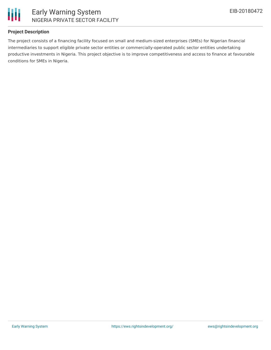

#### **Project Description**

The project consists of a financing facility focused on small and medium-sized enterprises (SMEs) for Nigerian financial intermediaries to support eligible private sector entities or commercially-operated public sector entities undertaking productive investments in Nigeria. This project objective is to improve competitiveness and access to finance at favourable conditions for SMEs in Nigeria.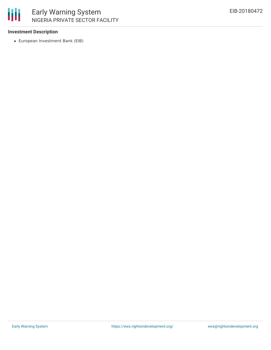#### **Investment Description**

European Investment Bank (EIB)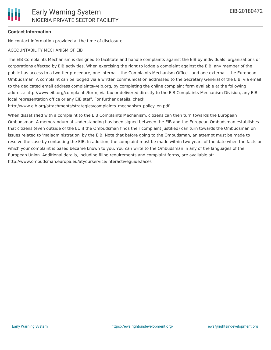## **Contact Information**

No contact information provided at the time of disclosure

### ACCOUNTABILITY MECHANISM OF EIB

The EIB Complaints Mechanism is designed to facilitate and handle complaints against the EIB by individuals, organizations or corporations affected by EIB activities. When exercising the right to lodge a complaint against the EIB, any member of the public has access to a two-tier procedure, one internal - the Complaints Mechanism Office - and one external - the European Ombudsman. A complaint can be lodged via a written communication addressed to the Secretary General of the EIB, via email to the dedicated email address complaints@eib.org, by completing the online complaint form available at the following address: http://www.eib.org/complaints/form, via fax or delivered directly to the EIB Complaints Mechanism Division, any EIB local representation office or any EIB staff. For further details, check:

http://www.eib.org/attachments/strategies/complaints\_mechanism\_policy\_en.pdf

When dissatisfied with a complaint to the EIB Complaints Mechanism, citizens can then turn towards the European Ombudsman. A memorandum of Understanding has been signed between the EIB and the European Ombudsman establishes that citizens (even outside of the EU if the Ombudsman finds their complaint justified) can turn towards the Ombudsman on issues related to 'maladministration' by the EIB. Note that before going to the Ombudsman, an attempt must be made to resolve the case by contacting the EIB. In addition, the complaint must be made within two years of the date when the facts on which your complaint is based became known to you. You can write to the Ombudsman in any of the languages of the European Union. Additional details, including filing requirements and complaint forms, are available at: http://www.ombudsman.europa.eu/atyourservice/interactiveguide.faces